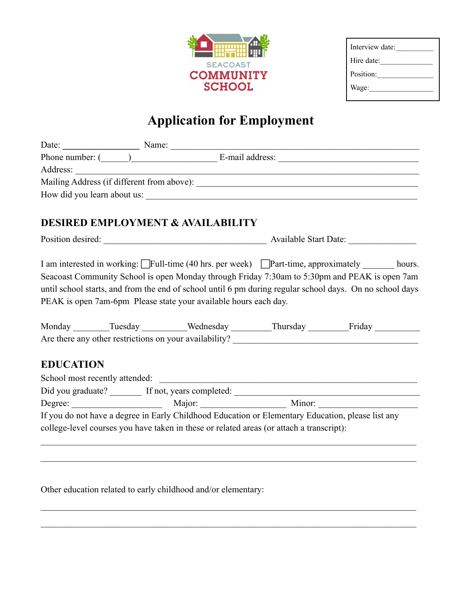

# **Application for Employment**

|                                                                                                                                                                                                                                                                                                                                                                           |  | Date: <u>Name:</u> Name:                     |  | <u> 1989 - Johann Barbara, martxa alemaniar a</u> |  |
|---------------------------------------------------------------------------------------------------------------------------------------------------------------------------------------------------------------------------------------------------------------------------------------------------------------------------------------------------------------------------|--|----------------------------------------------|--|---------------------------------------------------|--|
|                                                                                                                                                                                                                                                                                                                                                                           |  |                                              |  |                                                   |  |
|                                                                                                                                                                                                                                                                                                                                                                           |  |                                              |  |                                                   |  |
|                                                                                                                                                                                                                                                                                                                                                                           |  |                                              |  |                                                   |  |
|                                                                                                                                                                                                                                                                                                                                                                           |  |                                              |  |                                                   |  |
|                                                                                                                                                                                                                                                                                                                                                                           |  | <b>DESIRED EMPLOYMENT &amp; AVAILABILITY</b> |  |                                                   |  |
|                                                                                                                                                                                                                                                                                                                                                                           |  |                                              |  |                                                   |  |
| I am interested in working: Full-time (40 hrs. per week) Part-time, approximately hours.<br>Seacoast Community School is open Monday through Friday 7:30am to 5:30pm and PEAK is open 7am<br>until school starts, and from the end of school until 6 pm during regular school days. On no school days<br>PEAK is open 7am-6pm Please state your available hours each day. |  |                                              |  |                                                   |  |
|                                                                                                                                                                                                                                                                                                                                                                           |  |                                              |  | Monday Tuesday Wednesday Thursday Friday Friday   |  |
| <b>EDUCATION</b>                                                                                                                                                                                                                                                                                                                                                          |  |                                              |  |                                                   |  |

| School most recently attended:                                                                    |                          |        |  |  |  |
|---------------------------------------------------------------------------------------------------|--------------------------|--------|--|--|--|
| Did you graduate?                                                                                 | If not, years completed: |        |  |  |  |
| Degree:                                                                                           | Major:                   | Minor: |  |  |  |
| If you do not have a degree in Early Childhood Education or Elementary Education, please list any |                          |        |  |  |  |
| college-level courses you have taken in these or related areas (or attach a transcript):          |                          |        |  |  |  |

 $\mathcal{L}_\mathcal{L} = \{ \mathcal{L}_\mathcal{L} = \{ \mathcal{L}_\mathcal{L} = \{ \mathcal{L}_\mathcal{L} = \{ \mathcal{L}_\mathcal{L} = \{ \mathcal{L}_\mathcal{L} = \{ \mathcal{L}_\mathcal{L} = \{ \mathcal{L}_\mathcal{L} = \{ \mathcal{L}_\mathcal{L} = \{ \mathcal{L}_\mathcal{L} = \{ \mathcal{L}_\mathcal{L} = \{ \mathcal{L}_\mathcal{L} = \{ \mathcal{L}_\mathcal{L} = \{ \mathcal{L}_\mathcal{L} = \{ \mathcal{L}_\mathcal{$ 

 $\mathcal{L}_\mathcal{L} = \{ \mathcal{L}_\mathcal{L} = \{ \mathcal{L}_\mathcal{L} = \{ \mathcal{L}_\mathcal{L} = \{ \mathcal{L}_\mathcal{L} = \{ \mathcal{L}_\mathcal{L} = \{ \mathcal{L}_\mathcal{L} = \{ \mathcal{L}_\mathcal{L} = \{ \mathcal{L}_\mathcal{L} = \{ \mathcal{L}_\mathcal{L} = \{ \mathcal{L}_\mathcal{L} = \{ \mathcal{L}_\mathcal{L} = \{ \mathcal{L}_\mathcal{L} = \{ \mathcal{L}_\mathcal{L} = \{ \mathcal{L}_\mathcal{$ 

 $\mathcal{L}_\mathcal{L} = \{ \mathcal{L}_\mathcal{L} = \{ \mathcal{L}_\mathcal{L} = \{ \mathcal{L}_\mathcal{L} = \{ \mathcal{L}_\mathcal{L} = \{ \mathcal{L}_\mathcal{L} = \{ \mathcal{L}_\mathcal{L} = \{ \mathcal{L}_\mathcal{L} = \{ \mathcal{L}_\mathcal{L} = \{ \mathcal{L}_\mathcal{L} = \{ \mathcal{L}_\mathcal{L} = \{ \mathcal{L}_\mathcal{L} = \{ \mathcal{L}_\mathcal{L} = \{ \mathcal{L}_\mathcal{L} = \{ \mathcal{L}_\mathcal{$ 

 $\mathcal{L}_\mathcal{L} = \{ \mathcal{L}_\mathcal{L} = \{ \mathcal{L}_\mathcal{L} = \{ \mathcal{L}_\mathcal{L} = \{ \mathcal{L}_\mathcal{L} = \{ \mathcal{L}_\mathcal{L} = \{ \mathcal{L}_\mathcal{L} = \{ \mathcal{L}_\mathcal{L} = \{ \mathcal{L}_\mathcal{L} = \{ \mathcal{L}_\mathcal{L} = \{ \mathcal{L}_\mathcal{L} = \{ \mathcal{L}_\mathcal{L} = \{ \mathcal{L}_\mathcal{L} = \{ \mathcal{L}_\mathcal{L} = \{ \mathcal{L}_\mathcal{$ 

Other education related to early childhood and/or elementary: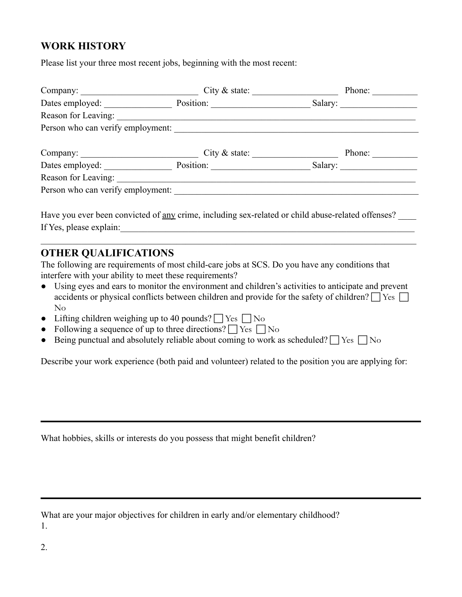## **WORK HISTORY**

Please list your three most recent jobs, beginning with the most recent:

| City $\&$ state:                                                                                  | Phone: |
|---------------------------------------------------------------------------------------------------|--------|
| Dates employed: Position: Position: Salary: Salary:                                               |        |
|                                                                                                   |        |
| Person who can verify employment:                                                                 |        |
|                                                                                                   | Phone: |
| Company: City & state:<br>Dates employed: Position: Position: Salary: Salary:                     |        |
| Reason for Leaving:                                                                               |        |
| Person who can verify employment:                                                                 |        |
|                                                                                                   |        |
| Have you ever been convicted of any crime, including sex related or child abuse related offenses? |        |

Have you ever been convicted of <u>any</u> crime, including sex-related or child abuse-related offenses? If Yes, please explain:

 $\mathcal{L}_\mathcal{L} = \{ \mathcal{L}_\mathcal{L} = \{ \mathcal{L}_\mathcal{L} = \{ \mathcal{L}_\mathcal{L} = \{ \mathcal{L}_\mathcal{L} = \{ \mathcal{L}_\mathcal{L} = \{ \mathcal{L}_\mathcal{L} = \{ \mathcal{L}_\mathcal{L} = \{ \mathcal{L}_\mathcal{L} = \{ \mathcal{L}_\mathcal{L} = \{ \mathcal{L}_\mathcal{L} = \{ \mathcal{L}_\mathcal{L} = \{ \mathcal{L}_\mathcal{L} = \{ \mathcal{L}_\mathcal{L} = \{ \mathcal{L}_\mathcal{$ 

### **OTHER QUALIFICATIONS**

The following are requirements of most child-care jobs at SCS. Do you have any conditions that interfere with your ability to meet these requirements?

- Using eyes and ears to monitor the environment and children's activities to anticipate and prevent accidents or physical conflicts between children and provide for the safety of children?  $\Box$  Yes  $\Box$ No
- Lifting children weighing up to 40 pounds?  $\Box$  Yes  $\Box$  No
- Following a sequence of up to three directions?  $\Box$  Yes  $\Box$  No
- Being punctual and absolutely reliable about coming to work as scheduled?  $\Box$  Yes  $\Box$  No

Describe your work experience (both paid and volunteer) related to the position you are applying for:

What hobbies, skills or interests do you possess that might benefit children?

What are your major objectives for children in early and/or elementary childhood? 1.